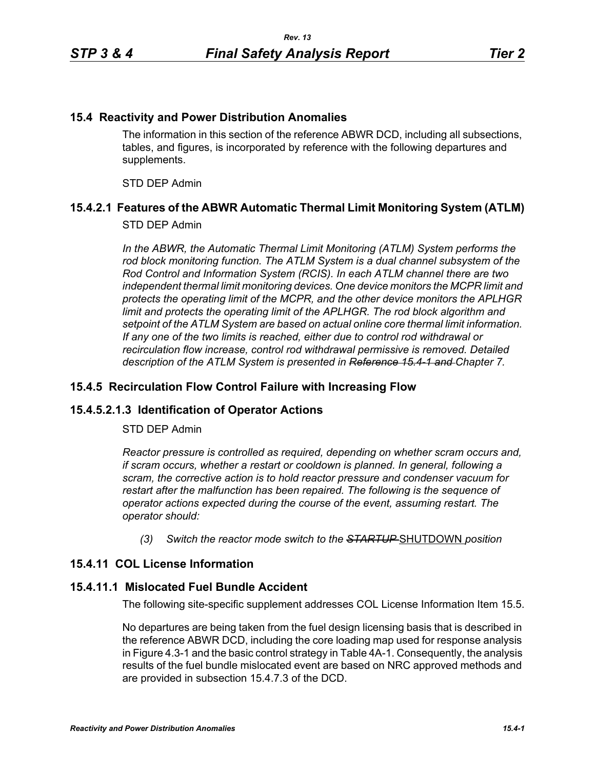#### **15.4 Reactivity and Power Distribution Anomalies**

The information in this section of the reference ABWR DCD, including all subsections, tables, and figures, is incorporated by reference with the following departures and supplements.

STD DEP Admin

## **15.4.2.1 Features of the ABWR Automatic Thermal Limit Monitoring System (ATLM)**

#### STD DEP Admin

In the ABWR, the Automatic Thermal Limit Monitoring (ATLM) System performs the *rod block monitoring function. The ATLM System is a dual channel subsystem of the Rod Control and Information System (RCIS). In each ATLM channel there are two independent thermal limit monitoring devices. One device monitors the MCPR limit and protects the operating limit of the MCPR, and the other device monitors the APLHGR*  limit and protects the operating limit of the APLHGR. The rod block algorithm and *setpoint of the ATLM System are based on actual online core thermal limit information. If any one of the two limits is reached, either due to control rod withdrawal or recirculation flow increase, control rod withdrawal permissive is removed. Detailed description of the ATLM System is presented in Reference 15.4-1 and Chapter 7.*

### **15.4.5 Recirculation Flow Control Failure with Increasing Flow**

## **15.4.5.2.1.3 Identification of Operator Actions**

#### STD DEP Admin

*Reactor pressure is controlled as required, depending on whether scram occurs and, if scram occurs, whether a restart or cooldown is planned. In general, following a scram, the corrective action is to hold reactor pressure and condenser vacuum for restart after the malfunction has been repaired. The following is the sequence of operator actions expected during the course of the event, assuming restart. The operator should:*

*(3) Switch the reactor mode switch to the STARTUP* SHUTDOWN *position*

## **15.4.11 COL License Information**

#### **15.4.11.1 Mislocated Fuel Bundle Accident**

The following site-specific supplement addresses COL License Information Item 15.5.

No departures are being taken from the fuel design licensing basis that is described in the reference ABWR DCD, including the core loading map used for response analysis in Figure 4.3-1 and the basic control strategy in Table 4A-1. Consequently, the analysis results of the fuel bundle mislocated event are based on NRC approved methods and are provided in subsection 15.4.7.3 of the DCD.